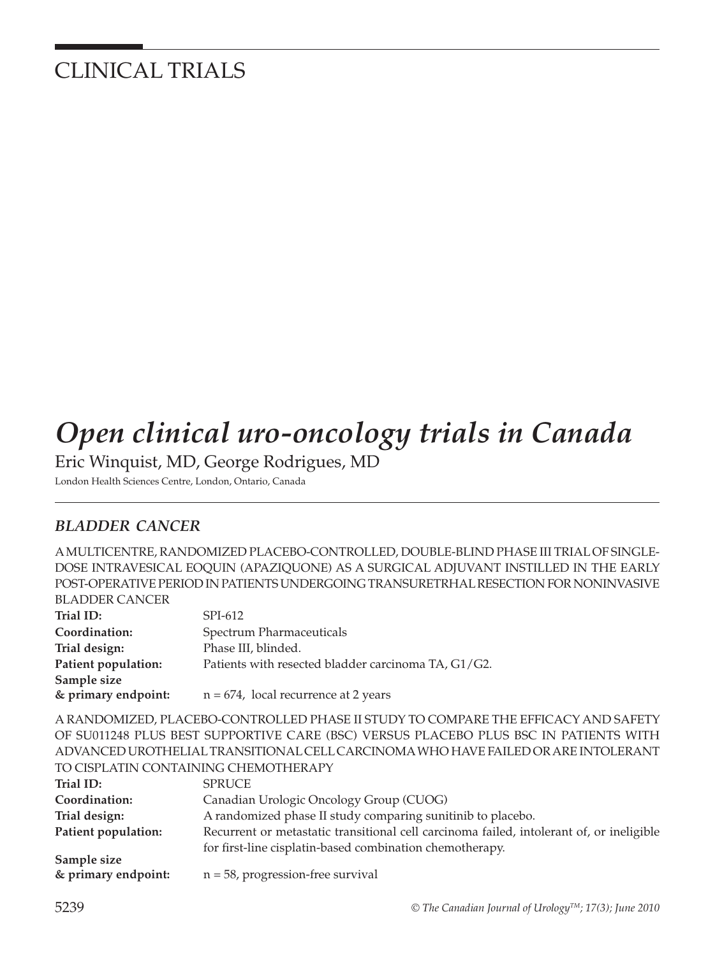## CLINICAL TRIALS

# *Open clinical uro-oncology trials in Canada*

Eric Winquist, MD, George Rodrigues, MD London Health Sciences Centre, London, Ontario, Canada

### *BLADDER CANCER*

A MULTICENTRE, RANDOMIZED PLACEBO-CONTROLLED, DOUBLE-BLIND PHASE III TRIAL OF SINGLE-DOSE INTRAVESICAL EOQUIN (APAZIQUONE) AS A SURGICAL ADJUVANT INSTILLED IN THE EARLY POST-OPERATIVE PERIOD IN PATIENTS UNDERGOING TRANSURETRHAL RESECTION FOR NONINVASIVE BLADDER CANCER

| BLADDEK CANCEK      |                                                     |
|---------------------|-----------------------------------------------------|
| Trial ID:           | SPI-612                                             |
| Coordination:       | Spectrum Pharmaceuticals                            |
| Trial design:       | Phase III, blinded.                                 |
| Patient population: | Patients with resected bladder carcinoma TA, G1/G2. |
| Sample size         |                                                     |
| & primary endpoint: | $n = 674$ , local recurrence at 2 years             |
|                     |                                                     |

A RANDOMIZED, PLACEBO-CONTROLLED PHASE II STUDY TO COMPARE THE EFFICACY AND SAFETY OF SU011248 PLUS BEST SUPPORTIVE CARE (BSC) VERSUS PLACEBO PLUS BSC IN PATIENTS WITH ADVANCED UROTHELIAL TRANSITIONAL CELL CARCINOMA WHO HAVE FAILED OR ARE INTOLERANT TO CISPLATIN CONTAINING CHEMOTHERAPY

| Trial ID:           | <b>SPRUCE</b>                                                                            |
|---------------------|------------------------------------------------------------------------------------------|
| Coordination:       | Canadian Urologic Oncology Group (CUOG)                                                  |
| Trial design:       | A randomized phase II study comparing sunitinib to placebo.                              |
| Patient population: | Recurrent or metastatic transitional cell carcinoma failed, intolerant of, or ineligible |
|                     | for first-line cisplatin-based combination chemotherapy.                                 |
| Sample size         |                                                                                          |
| & primary endpoint: | $n = 58$ , progression-free survival                                                     |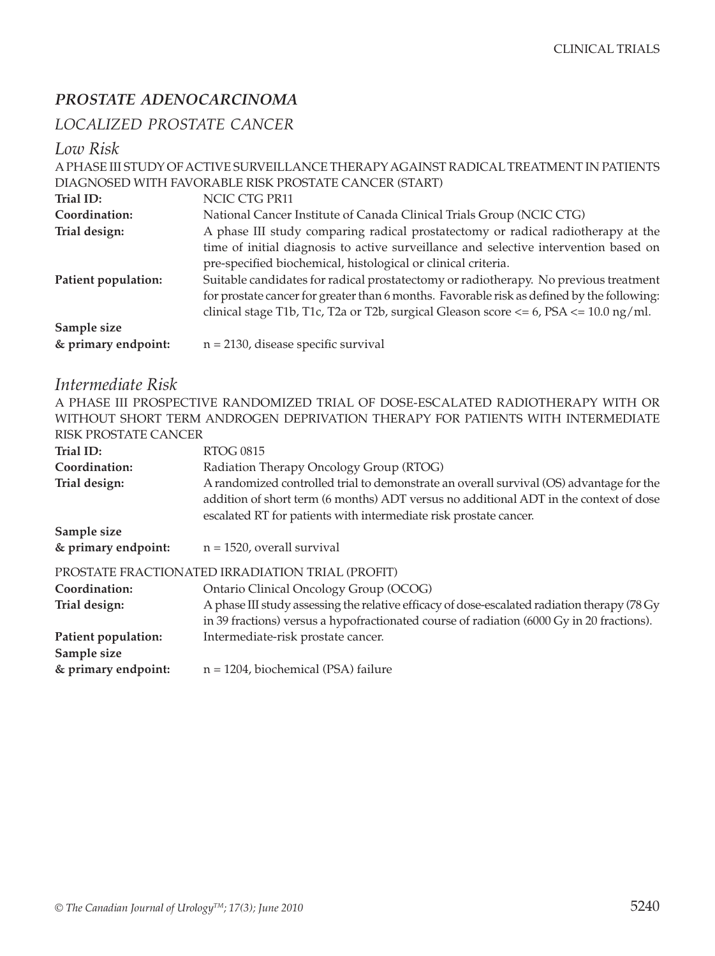#### *PROSTATE ADENOCARCINOMA*

#### *LOCALIZED PROSTATE CANCER*

#### *Low Risk*

|                     | A PHASE III STUDY OF ACTIVE SURVEILLANCE THERAPY AGAINST RADICAL TREATMENT IN PATIENTS        |
|---------------------|-----------------------------------------------------------------------------------------------|
|                     | DIAGNOSED WITH FAVORABLE RISK PROSTATE CANCER (START)                                         |
| Trial ID:           | NCIC CTG PR11                                                                                 |
| Coordination:       | National Cancer Institute of Canada Clinical Trials Group (NCIC CTG)                          |
| Trial design:       | A phase III study comparing radical prostatectomy or radical radiotherapy at the              |
|                     | time of initial diagnosis to active surveillance and selective intervention based on          |
|                     | pre-specified biochemical, histological or clinical criteria.                                 |
| Patient population: | Suitable candidates for radical prostatectomy or radiotherapy. No previous treatment          |
|                     | for prostate cancer for greater than 6 months. Favorable risk as defined by the following:    |
|                     | clinical stage T1b, T1c, T2a or T2b, surgical Gleason score $\lt= 6$ , PSA $\lt= 10.0$ ng/ml. |
| Sample size         |                                                                                               |
| & primary endpoint: | $n = 2130$ , disease specific survival                                                        |
|                     |                                                                                               |

#### *Intermediate Risk*

A PHASE III PROSPECTIVE RANDOMIZED TRIAL OF DOSE-ESCALATED RADIOTHERAPY WITH OR WITHOUT SHORT TERM ANDROGEN DEPRIVATION THERAPY FOR PATIENTS WITH INTERMEDIATE RISK PROSTATE CANCER

| Trial ID:           | <b>RTOG 0815</b>                                                                                                                                                                                                                                      |
|---------------------|-------------------------------------------------------------------------------------------------------------------------------------------------------------------------------------------------------------------------------------------------------|
| Coordination:       | Radiation Therapy Oncology Group (RTOG)                                                                                                                                                                                                               |
| Trial design:       | A randomized controlled trial to demonstrate an overall survival (OS) advantage for the<br>addition of short term (6 months) ADT versus no additional ADT in the context of dose<br>escalated RT for patients with intermediate risk prostate cancer. |
| Sample size         |                                                                                                                                                                                                                                                       |
| & primary endpoint: | $n = 1520$ , overall survival                                                                                                                                                                                                                         |
|                     | PROSTATE FRACTIONATED IRRADIATION TRIAL (PROFIT)                                                                                                                                                                                                      |
| Coordination:       | Ontario Clinical Oncology Group (OCOG)                                                                                                                                                                                                                |
| Trial design:       | A phase III study assessing the relative efficacy of dose-escalated radiation therapy (78 Gy)                                                                                                                                                         |
|                     | in 39 fractions) versus a hypofractionated course of radiation (6000 Gy in 20 fractions).                                                                                                                                                             |
| Patient population: | Intermediate-risk prostate cancer.                                                                                                                                                                                                                    |
| Sample size         |                                                                                                                                                                                                                                                       |
| & primary endpoint: | $n = 1204$ , biochemical (PSA) failure                                                                                                                                                                                                                |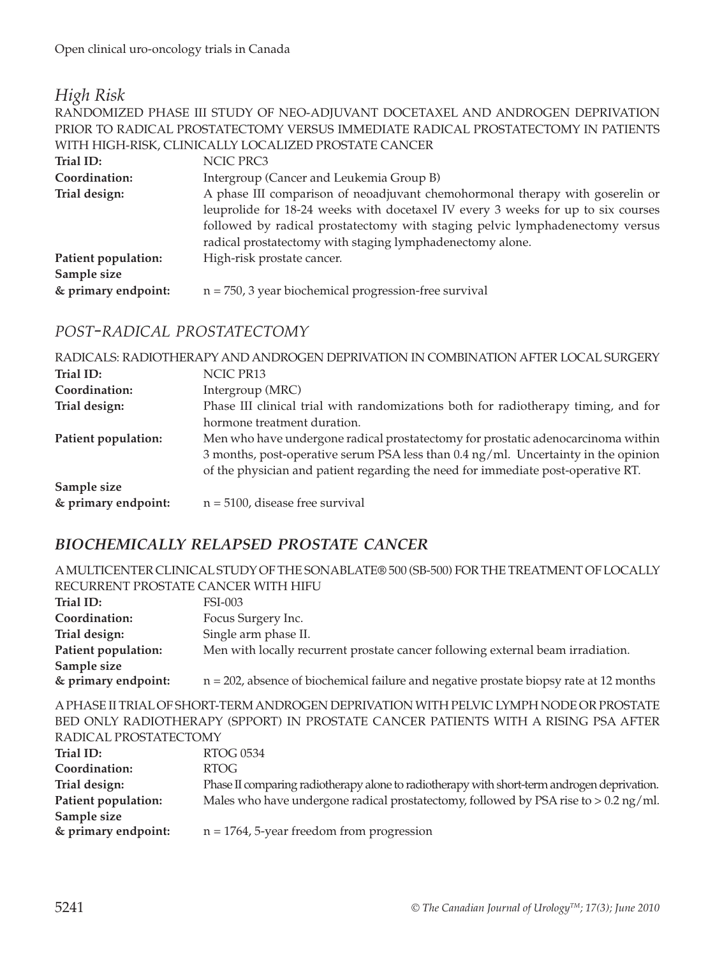#### *High Risk*

RANDOMIZED PHASE III STUDY OF NEO-ADJUVANT DOCETAXEL AND ANDROGEN DEPRIVATION PRIOR TO RADICAL PROSTATECTOMY VERSUS IMMEDIATE RADICAL PROSTATECTOMY IN PATIENTS WITH HIGH-RISK, CLINICALLY LOCALIZED PROSTATE CANCER

| Trial ID:           | NCIC PRC3                                                                        |
|---------------------|----------------------------------------------------------------------------------|
| Coordination:       | Intergroup (Cancer and Leukemia Group B)                                         |
| Trial design:       | A phase III comparison of neoadjuvant chemohormonal therapy with goserelin or    |
|                     | leuprolide for 18-24 weeks with docetaxel IV every 3 weeks for up to six courses |
|                     | followed by radical prostatectomy with staging pelvic lymphadenectomy versus     |
|                     | radical prostatectomy with staging lymphadenectomy alone.                        |
| Patient population: | High-risk prostate cancer.                                                       |
| Sample size         |                                                                                  |
| & primary endpoint: | $n = 750$ , 3 year biochemical progression-free survival                         |

#### *POST-RADICAL PROSTATECTOMY*

RADICALS: RADIOTHERAPY AND ANDROGEN DEPRIVATION IN COMBINATION AFTER LOCAL SURGERY Trial ID: NCIC PR13 **Coordination:** Intergroup (MRC) **Trial design:** Phase III clinical trial with randomizations both for radiotherapy timing, and for hormone treatment duration. **Patient population:** Men who have undergone radical prostatectomy for prostatic adenocarcinoma within 3 months, post-operative serum PSA less than 0.4 ng/ml. Uncertainty in the opinion of the physician and patient regarding the need for immediate post-operative RT. **Sample size & primary endpoint:** n = 5100, disease free survival

#### *BIOCHEMICALLY RELAPSED PROSTATE CANCER*

A MULTICENTER CLINICAL STUDY OF THE SONABLATE® 500 (SB-500) FOR THE TREATMENT OF LOCALLY RECURRENT PROSTATE CANCER WITH HIFU **Trial ID:** FSI-003 **Coordination:** Focus Surgery Inc. **Trial design:** Single arm phase II. **Patient population:** Men with locally recurrent prostate cancer following external beam irradiation. **Sample size & primary endpoint:** n = 202, absence of biochemical failure and negative prostate biopsy rate at 12 months A PHASE II TRIAL OF SHORT-TERM ANDROGEN DEPRIVATION WITH PELVIC LYMPH NODE OR PROSTATE BED ONLY RADIOTHERAPY (SPPORT) IN PROSTATE CANCER PATIENTS WITH A RISING PSA AFTER RADICAL PROSTATECTOMY **Trial ID:** RTOG 0534 **Coordination:** RTOG **Trial design:** Phase II comparing radiotherapy alone to radiotherapy with short-term androgen deprivation. **Patient population:** Males who have undergone radical prostatectomy, followed by PSA rise to > 0.2 ng/ml. **Sample size** 

**& primary endpoint:** n = 1764, 5-year freedom from progression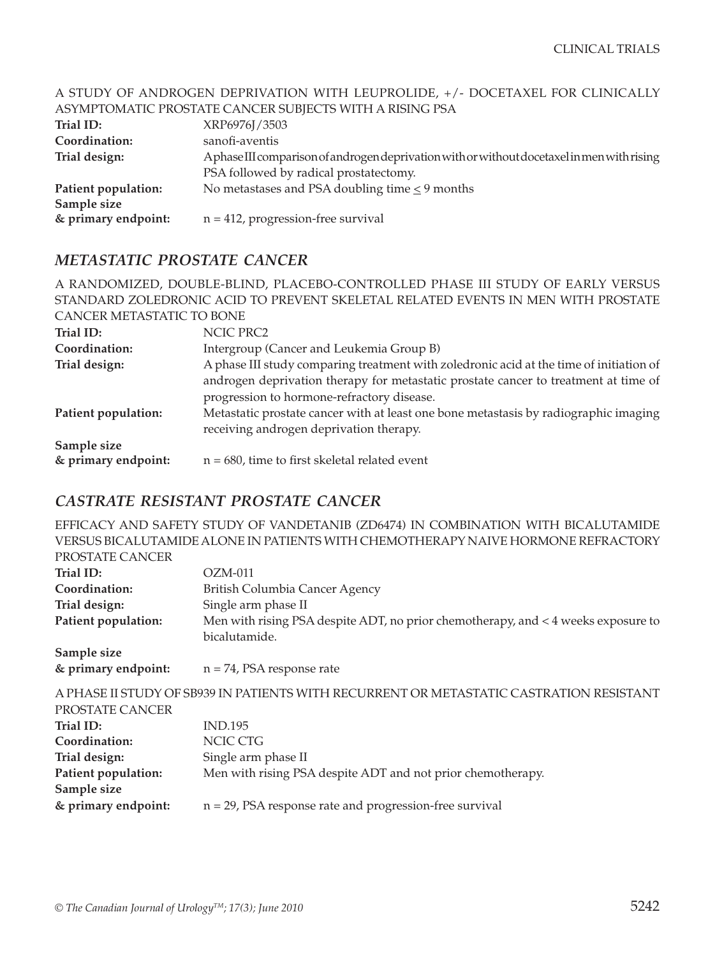#### A STUDY OF ANDROGEN DEPRIVATION WITH LEUPROLIDE, +/- DOCETAXEL FOR CLINICALLY ASYMPTOMATIC PROSTATE CANCER SUBJECTS WITH A RISING PSA **Trial ID:** XRP6976J/3503 **Coordination:** sanofi-aventis **Trial design: Aphase III comparison of androgen deprivation with or without docetaxel in men with rising**  PSA followed by radical prostatectomy. **Patient population:** No metastases and PSA doubling time  $\leq$  9 months

**& primary endpoint:** n = 412, progression-free survival

#### *METASTATIC PROSTATE CANCER*

**Sample size** 

|                           | A RANDOMIZED, DOUBLE-BLIND, PLACEBO-CONTROLLED PHASE III STUDY OF EARLY VERSUS                                                    |
|---------------------------|-----------------------------------------------------------------------------------------------------------------------------------|
|                           | STANDARD ZOLEDRONIC ACID TO PREVENT SKELETAL RELATED EVENTS IN MEN WITH PROSTATE                                                  |
| CANCER METASTATIC TO BONE |                                                                                                                                   |
| Trial ID:                 | NCIC PRC2                                                                                                                         |
| Coordination:             | Intergroup (Cancer and Leukemia Group B)                                                                                          |
| Trial design:             | A phase III study comparing treatment with zoledronic acid at the time of initiation of                                           |
|                           | androgen deprivation therapy for metastatic prostate cancer to treatment at time of<br>progression to hormone-refractory disease. |
| Patient population:       | Metastatic prostate cancer with at least one bone metastasis by radiographic imaging<br>receiving androgen deprivation therapy.   |
| Sample size               |                                                                                                                                   |
| & primary endpoint:       | $n = 680$ , time to first skeletal related event                                                                                  |

#### *CASTRATE RESISTANT PROSTATE CANCER*

EFFICACY AND SAFETY STUDY OF VANDETANIB (ZD6474) IN COMBINATION WITH BICALUTAMIDE VERSUS BICALUTAMIDE ALONE IN PATIENTS WITH CHEMOTHERAPY NAIVE HORMONE REFRACTORY

| PROSTATE CANCER     |                                                                                         |
|---------------------|-----------------------------------------------------------------------------------------|
| Trial ID:           | $OZM-011$                                                                               |
| Coordination:       | British Columbia Cancer Agency                                                          |
| Trial design:       | Single arm phase II                                                                     |
| Patient population: | Men with rising PSA despite ADT, no prior chemotherapy, and < 4 weeks exposure to       |
|                     | bicalutamide.                                                                           |
| Sample size         |                                                                                         |
| & primary endpoint: | $n = 74$ , PSA response rate                                                            |
|                     | A PHASE II STUDY OF SB939 IN PATIENTS WITH RECURRENT OR METASTATIC CASTRATION RESISTANT |
| PROSTATE CANCER     |                                                                                         |
| Trial ID:           | <b>IND.195</b>                                                                          |
| Coordination:       | NCIC CTG                                                                                |
| Trial design:       | Single arm phase II                                                                     |
| Patient population: | Men with rising PSA despite ADT and not prior chemotherapy.                             |
| Sample size         |                                                                                         |
| & primary endpoint: | $n = 29$ , PSA response rate and progression-free survival                              |
|                     |                                                                                         |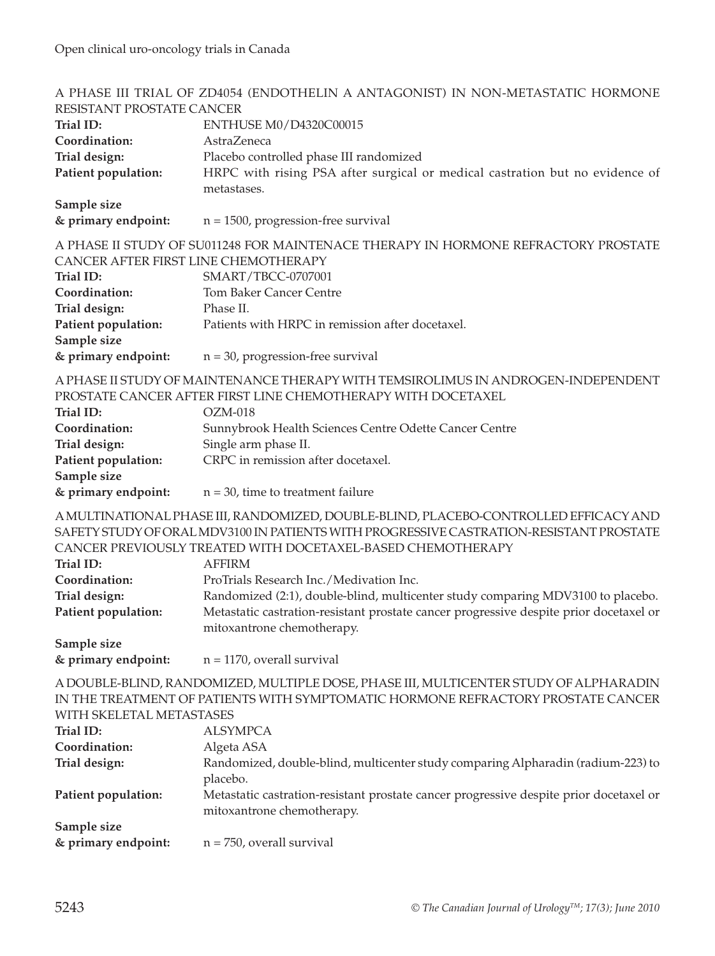|                                      | A PHASE III TRIAL OF ZD4054 (ENDOTHELIN A ANTAGONIST) IN NON-METASTATIC HORMONE         |
|--------------------------------------|-----------------------------------------------------------------------------------------|
| RESISTANT PROSTATE CANCER            |                                                                                         |
| Trial ID:                            | ENTHUSE M0/D4320C00015                                                                  |
| Coordination:                        | AstraZeneca                                                                             |
| Trial design:                        | Placebo controlled phase III randomized                                                 |
| Patient population:                  | HRPC with rising PSA after surgical or medical castration but no evidence of            |
|                                      | metastases.                                                                             |
| Sample size                          |                                                                                         |
| & primary endpoint:                  | $n = 1500$ , progression-free survival                                                  |
|                                      | A PHASE II STUDY OF SU011248 FOR MAINTENACE THERAPY IN HORMONE REFRACTORY PROSTATE      |
| CANCER AFTER FIRST LINE CHEMOTHERAPY |                                                                                         |
| Trial ID:                            | SMART/TBCC-0707001                                                                      |
| Coordination:                        | <b>Tom Baker Cancer Centre</b>                                                          |
| Trial design:                        | Phase II.                                                                               |
| Patient population:                  | Patients with HRPC in remission after docetaxel.                                        |
| Sample size                          |                                                                                         |
| & primary endpoint:                  | $n = 30$ , progression-free survival                                                    |
|                                      | A PHASE II STUDY OF MAINTENANCE THERAPY WITH TEMSIROLIMUS IN ANDROGEN-INDEPENDENT       |
|                                      | PROSTATE CANCER AFTER FIRST LINE CHEMOTHERAPY WITH DOCETAXEL                            |
| Trial ID:                            | $OZM-018$                                                                               |
| Coordination:                        | Sunnybrook Health Sciences Centre Odette Cancer Centre                                  |
| Trial design:                        | Single arm phase II.                                                                    |
| Patient population:                  | CRPC in remission after docetaxel.                                                      |
| Sample size                          |                                                                                         |
| & primary endpoint:                  | $n = 30$ , time to treatment failure                                                    |
|                                      | A MULTINATIONAL PHASE III, RANDOMIZED, DOUBLE-BLIND, PLACEBO-CONTROLLED EFFICACY AND    |
|                                      | SAFETY STUDY OF ORAL MDV3100 IN PATIENTS WITH PROGRESSIVE CASTRATION-RESISTANT PROSTATE |
|                                      | CANCER PREVIOUSLY TREATED WITH DOCETAXEL-BASED CHEMOTHERAPY                             |
| Trial ID:                            | <b>AFFIRM</b>                                                                           |
| Coordination:                        | ProTrials Research Inc./Medivation Inc.                                                 |
| Trial design:                        | Randomized (2:1), double-blind, multicenter study comparing MDV3100 to placebo.         |
| Patient population:                  | Metastatic castration-resistant prostate cancer progressive despite prior docetaxel or  |
|                                      | mitoxantrone chemotherapy.                                                              |
| Sample size                          |                                                                                         |
| & primary endpoint:                  | $n = 1170$ , overall survival                                                           |
|                                      | A DOUBLE-BLIND, RANDOMIZED, MULTIPLE DOSE, PHASE III, MULTICENTER STUDY OF ALPHARADIN   |
|                                      | IN THE TREATMENT OF PATIENTS WITH SYMPTOMATIC HORMONE REFRACTORY PROSTATE CANCER        |
| WITH SKELETAL METASTASES             |                                                                                         |
| Trial ID:                            | <b>ALSYMPCA</b>                                                                         |
| Coordination:                        | Algeta ASA                                                                              |
| Trial design:                        | Randomized, double-blind, multicenter study comparing Alpharadin (radium-223) to        |
|                                      | placebo.                                                                                |
| Patient population:                  | Metastatic castration-resistant prostate cancer progressive despite prior docetaxel or  |
|                                      | mitoxantrone chemotherapy.                                                              |
| Sample size                          |                                                                                         |
| & primary endpoint:                  | $n = 750$ , overall survival                                                            |